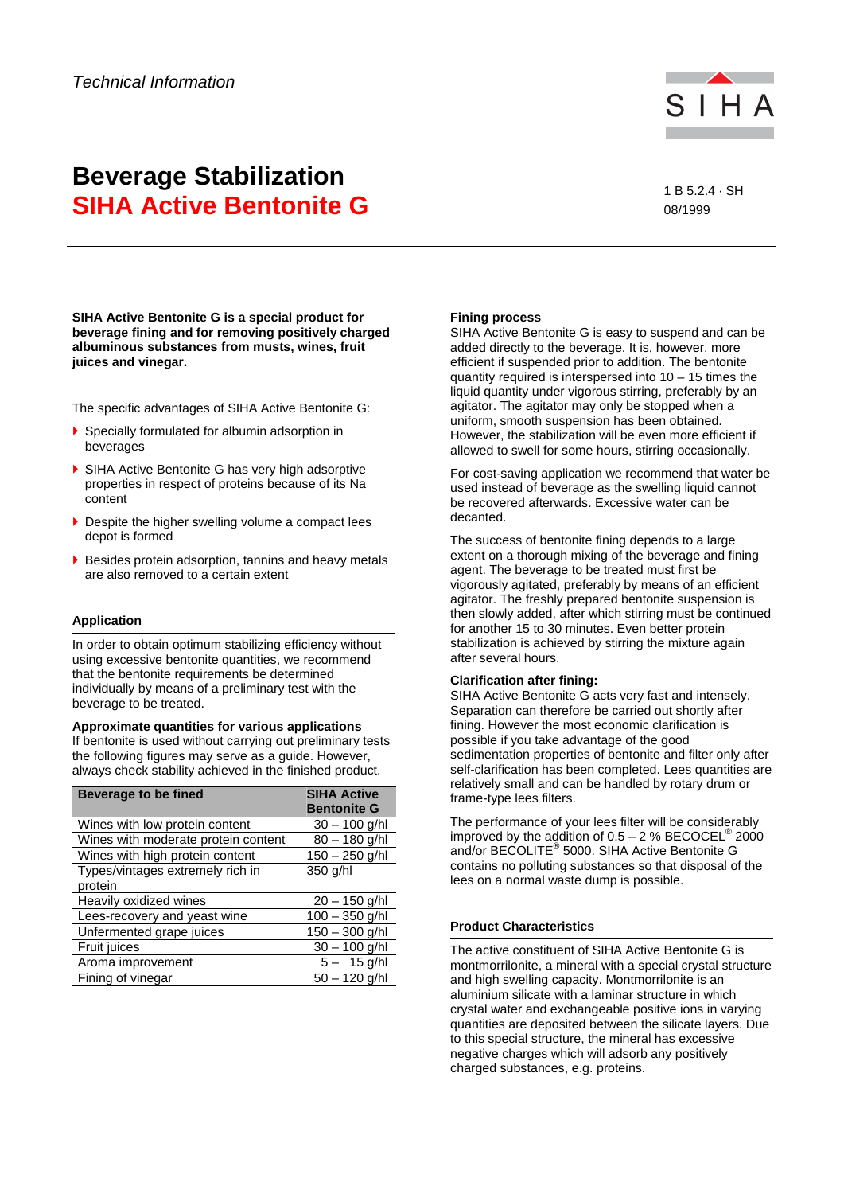

# **Beverage Stabilization SIHA Active Bentonite G** All and the state of the state of the state of the state of the state of the state of the state of the state of the state of the state of the state of the state of the state of the state of the st

# 08/1999

**SIHA Active Bentonite G is a special product for beverage fining and for removing positively charged albuminous substances from musts, wines, fruit juices and vinegar.** 

The specific advantages of SIHA Active Bentonite G:

- Specially formulated for albumin adsorption in beverages
- ▶ SIHA Active Bentonite G has very high adsorptive properties in respect of proteins because of its Na content
- Despite the higher swelling volume a compact lees depot is formed
- Besides protein adsorption, tannins and heavy metals are also removed to a certain extent

# **Application**

In order to obtain optimum stabilizing efficiency without using excessive bentonite quantities, we recommend that the bentonite requirements be determined individually by means of a preliminary test with the beverage to be treated.

**Approximate quantities for various applications**  If bentonite is used without carrying out preliminary tests the following figures may serve as a guide. However, always check stability achieved in the finished product.

| <b>Beverage to be fined</b>                 | <b>SIHA Active</b><br><b>Bentonite G</b> |
|---------------------------------------------|------------------------------------------|
| Wines with low protein content              | $30 - 100$ g/hl                          |
| Wines with moderate protein content         | $80 - 180$ g/hl                          |
| Wines with high protein content             | $150 - 250$ g/hl                         |
| Types/vintages extremely rich in<br>protein | 350 g/hl                                 |
| Heavily oxidized wines                      | $20 - 150$ g/hl                          |
| Lees-recovery and yeast wine                | $100 - 350$ g/hl                         |
| Unfermented grape juices                    | $150 - 300$ g/hl                         |
| <b>Fruit juices</b>                         | $30 - 100$ g/hl                          |
| Aroma improvement                           | $5 - 15$ g/hl                            |
| Fining of vinegar                           | $50 - 120$ g/hl                          |

# **Fining process**

SIHA Active Bentonite G is easy to suspend and can be added directly to the beverage. It is, however, more efficient if suspended prior to addition. The bentonite quantity required is interspersed into 10 – 15 times the liquid quantity under vigorous stirring, preferably by an agitator. The agitator may only be stopped when a uniform, smooth suspension has been obtained. However, the stabilization will be even more efficient if allowed to swell for some hours, stirring occasionally.

For cost-saving application we recommend that water be used instead of beverage as the swelling liquid cannot be recovered afterwards. Excessive water can be decanted.

The success of bentonite fining depends to a large extent on a thorough mixing of the beverage and fining agent. The beverage to be treated must first be vigorously agitated, preferably by means of an efficient agitator. The freshly prepared bentonite suspension is then slowly added, after which stirring must be continued for another 15 to 30 minutes. Even better protein stabilization is achieved by stirring the mixture again after several hours.

### **Clarification after fining:**

SIHA Active Bentonite G acts very fast and intensely. Separation can therefore be carried out shortly after fining. However the most economic clarification is possible if you take advantage of the good sedimentation properties of bentonite and filter only after self-clarification has been completed. Lees quantities are relatively small and can be handled by rotary drum or frame-type lees filters.

The performance of your lees filter will be considerably improved by the addition of  $0.5 - 2$  % BECOCEL<sup>®</sup> 2000 and/or BECOLITE® 5000. SIHA Active Bentonite G contains no polluting substances so that disposal of the lees on a normal waste dump is possible.

#### **Product Characteristics**

The active constituent of SIHA Active Bentonite G is montmorrilonite, a mineral with a special crystal structure and high swelling capacity. Montmorrilonite is an aluminium silicate with a laminar structure in which crystal water and exchangeable positive ions in varying quantities are deposited between the silicate layers. Due to this special structure, the mineral has excessive negative charges which will adsorb any positively charged substances, e.g. proteins.